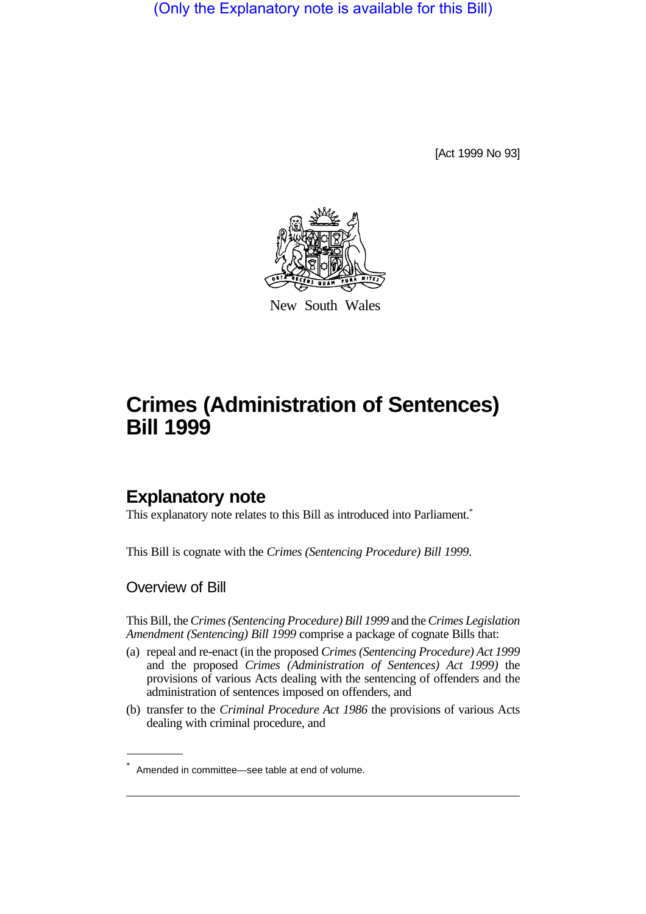(Only the Explanatory note is available for this Bill)

[Act 1999 No 93]



New South Wales

# **Crimes (Administration of Sentences) Bill 1999**

# **Explanatory note**

This explanatory note relates to this Bill as introduced into Parliament.<sup>\*</sup>

This Bill is cognate with the *Crimes (Sentencing Procedure) Bill 1999*.

Overview of Bill

This Bill, the *Crimes (Sentencing Procedure) Bill 1999* and the *Crimes Legislation Amendment (Sentencing) Bill 1999* comprise a package of cognate Bills that:

- (a) repeal and re-enact (in the proposed *Crimes (Sentencing Procedure) Act 1999* and the proposed *Crimes (Administration of Sentences) Act 1999)* the provisions of various Acts dealing with the sentencing of offenders and the administration of sentences imposed on offenders, and
- (b) transfer to the *Criminal Procedure Act 1986* the provisions of various Acts dealing with criminal procedure, and

<sup>\*</sup> Amended in committee—see table at end of volume.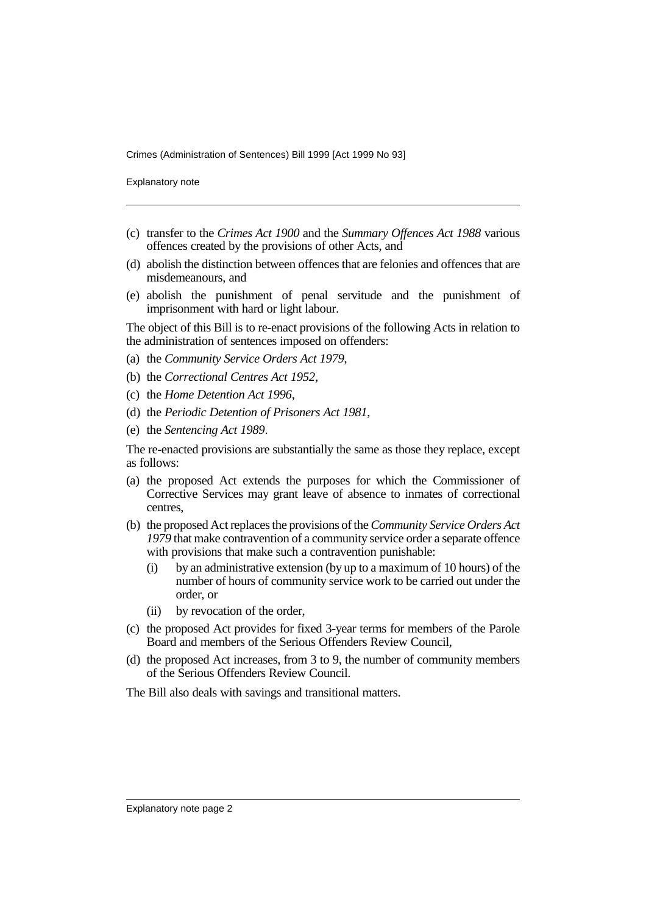Explanatory note

- (c) transfer to the *Crimes Act 1900* and the *Summary Offences Act 1988* various offences created by the provisions of other Acts, and
- (d) abolish the distinction between offences that are felonies and offences that are misdemeanours, and
- (e) abolish the punishment of penal servitude and the punishment of imprisonment with hard or light labour.

The object of this Bill is to re-enact provisions of the following Acts in relation to the administration of sentences imposed on offenders:

- (a) the *Community Service Orders Act 1979*,
- (b) the *Correctional Centres Act 1952*,
- (c) the *Home Detention Act 1996*,
- (d) the *Periodic Detention of Prisoners Act 1981*,
- (e) the *Sentencing Act 1989*.

The re-enacted provisions are substantially the same as those they replace, except as follows:

- (a) the proposed Act extends the purposes for which the Commissioner of Corrective Services may grant leave of absence to inmates of correctional centres,
- (b) the proposed Act replaces the provisions of the *Community Service Orders Act 1979* that make contravention of a community service order a separate offence with provisions that make such a contravention punishable:
	- (i) by an administrative extension (by up to a maximum of 10 hours) of the number of hours of community service work to be carried out under the order, or
	- (ii) by revocation of the order,
- (c) the proposed Act provides for fixed 3-year terms for members of the Parole Board and members of the Serious Offenders Review Council,
- (d) the proposed Act increases, from 3 to 9, the number of community members of the Serious Offenders Review Council.

The Bill also deals with savings and transitional matters.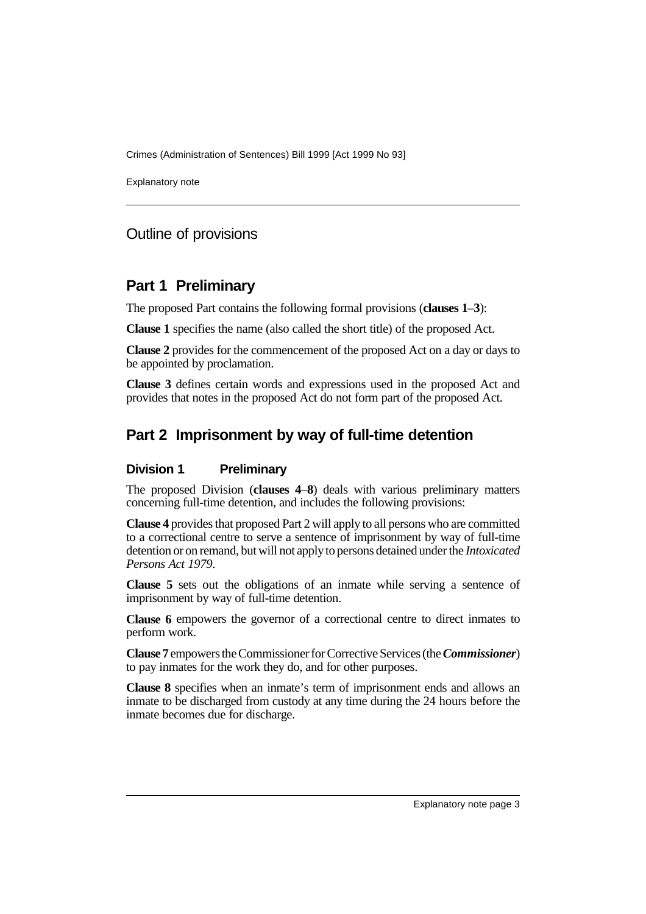Explanatory note

### Outline of provisions

### **Part 1 Preliminary**

The proposed Part contains the following formal provisions (**clauses 1**–**3**):

**Clause 1** specifies the name (also called the short title) of the proposed Act.

**Clause 2** provides for the commencement of the proposed Act on a day or days to be appointed by proclamation.

**Clause 3** defines certain words and expressions used in the proposed Act and provides that notes in the proposed Act do not form part of the proposed Act.

# **Part 2 Imprisonment by way of full-time detention**

#### **Division 1 Preliminary**

The proposed Division (**clauses 4**–**8**) deals with various preliminary matters concerning full-time detention, and includes the following provisions:

**Clause 4** provides that proposed Part 2 will apply to all persons who are committed to a correctional centre to serve a sentence of imprisonment by way of full-time detention or on remand, but will not apply to persons detained under the *Intoxicated Persons Act 1979*.

**Clause 5** sets out the obligations of an inmate while serving a sentence of imprisonment by way of full-time detention.

**Clause 6** empowers the governor of a correctional centre to direct inmates to perform work.

**Clause 7** empowers the Commissioner for Corrective Services (the *Commissioner*) to pay inmates for the work they do, and for other purposes.

**Clause 8** specifies when an inmate's term of imprisonment ends and allows an inmate to be discharged from custody at any time during the 24 hours before the inmate becomes due for discharge.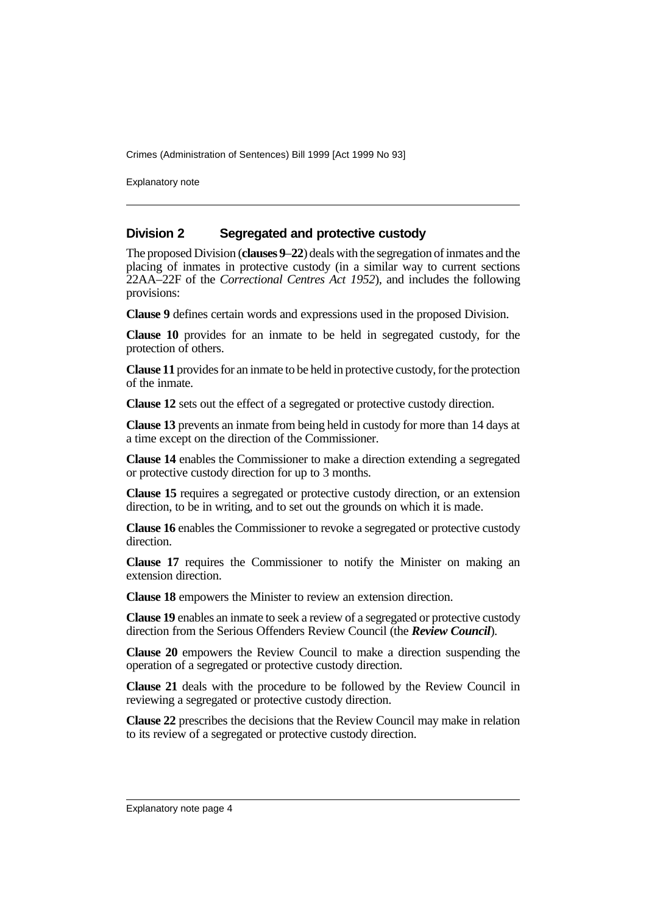Explanatory note

#### **Division 2 Segregated and protective custody**

The proposed Division (**clauses 9**–**22**) deals with the segregation of inmates and the placing of inmates in protective custody (in a similar way to current sections 22AA–22F of the *Correctional Centres Act 1952*), and includes the following provisions:

**Clause 9** defines certain words and expressions used in the proposed Division.

**Clause 10** provides for an inmate to be held in segregated custody, for the protection of others.

**Clause 11** provides for an inmate to be held in protective custody, for the protection of the inmate.

**Clause 12** sets out the effect of a segregated or protective custody direction.

**Clause 13** prevents an inmate from being held in custody for more than 14 days at a time except on the direction of the Commissioner.

**Clause 14** enables the Commissioner to make a direction extending a segregated or protective custody direction for up to 3 months.

**Clause 15** requires a segregated or protective custody direction, or an extension direction, to be in writing, and to set out the grounds on which it is made.

**Clause 16** enables the Commissioner to revoke a segregated or protective custody direction.

**Clause 17** requires the Commissioner to notify the Minister on making an extension direction.

**Clause 18** empowers the Minister to review an extension direction.

**Clause 19** enables an inmate to seek a review of a segregated or protective custody direction from the Serious Offenders Review Council (the *Review Council*).

**Clause 20** empowers the Review Council to make a direction suspending the operation of a segregated or protective custody direction.

**Clause 21** deals with the procedure to be followed by the Review Council in reviewing a segregated or protective custody direction.

**Clause 22** prescribes the decisions that the Review Council may make in relation to its review of a segregated or protective custody direction.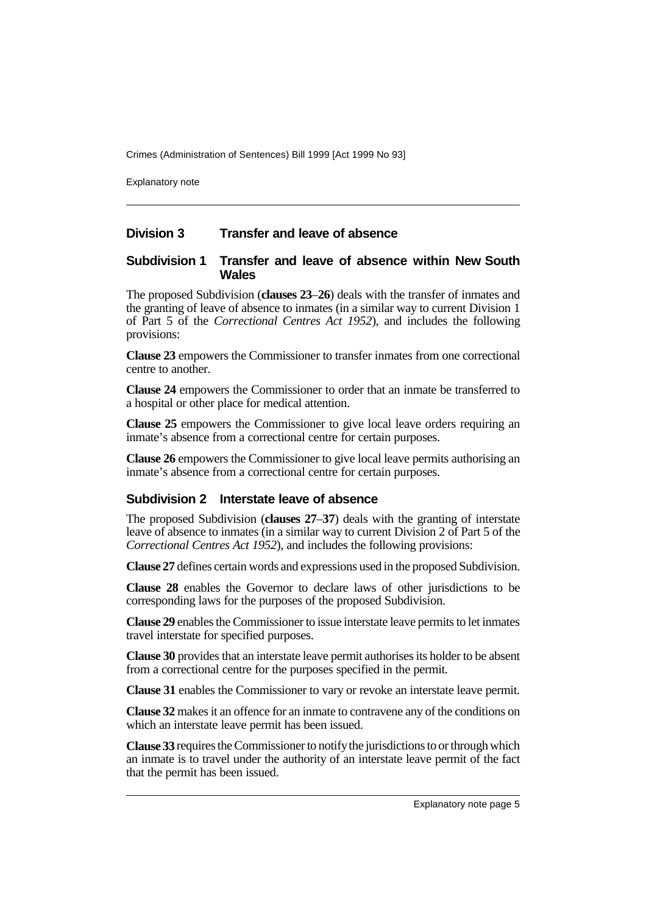Explanatory note

#### **Division 3 Transfer and leave of absence**

#### **Subdivision 1 Transfer and leave of absence within New South Wales**

The proposed Subdivision (**clauses 23**–**26**) deals with the transfer of inmates and the granting of leave of absence to inmates (in a similar way to current Division 1 of Part 5 of the *Correctional Centres Act 1952*), and includes the following provisions:

**Clause 23** empowers the Commissioner to transfer inmates from one correctional centre to another.

**Clause 24** empowers the Commissioner to order that an inmate be transferred to a hospital or other place for medical attention.

**Clause 25** empowers the Commissioner to give local leave orders requiring an inmate's absence from a correctional centre for certain purposes.

**Clause 26** empowers the Commissioner to give local leave permits authorising an inmate's absence from a correctional centre for certain purposes.

#### **Subdivision 2 Interstate leave of absence**

The proposed Subdivision (**clauses 27**–**37**) deals with the granting of interstate leave of absence to inmates (in a similar way to current Division 2 of Part 5 of the *Correctional Centres Act 1952*), and includes the following provisions:

**Clause 27** defines certain words and expressions used in the proposed Subdivision.

**Clause 28** enables the Governor to declare laws of other jurisdictions to be corresponding laws for the purposes of the proposed Subdivision.

**Clause 29** enables the Commissioner to issue interstate leave permits to let inmates travel interstate for specified purposes.

**Clause 30** provides that an interstate leave permit authorises its holder to be absent from a correctional centre for the purposes specified in the permit.

**Clause 31** enables the Commissioner to vary or revoke an interstate leave permit.

**Clause 32** makes it an offence for an inmate to contravene any of the conditions on which an interstate leave permit has been issued.

**Clause 33** requires the Commissioner to notify the jurisdictions to or through which an inmate is to travel under the authority of an interstate leave permit of the fact that the permit has been issued.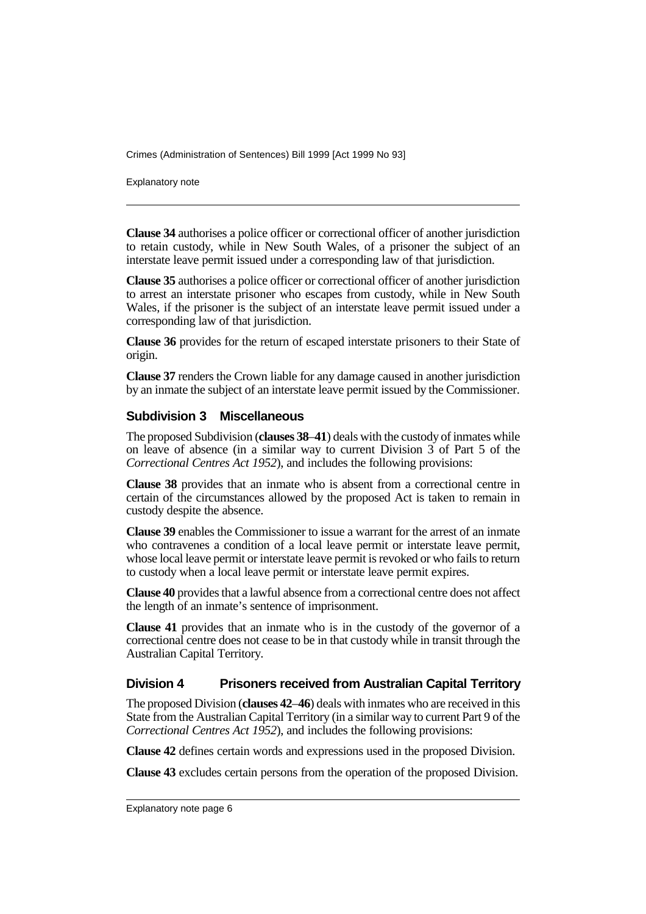Explanatory note

**Clause 34** authorises a police officer or correctional officer of another jurisdiction to retain custody, while in New South Wales, of a prisoner the subject of an interstate leave permit issued under a corresponding law of that jurisdiction.

**Clause 35** authorises a police officer or correctional officer of another jurisdiction to arrest an interstate prisoner who escapes from custody, while in New South Wales, if the prisoner is the subject of an interstate leave permit issued under a corresponding law of that jurisdiction.

**Clause 36** provides for the return of escaped interstate prisoners to their State of origin.

**Clause 37** renders the Crown liable for any damage caused in another jurisdiction by an inmate the subject of an interstate leave permit issued by the Commissioner.

#### **Subdivision 3 Miscellaneous**

The proposed Subdivision (**clauses 38**–**41**) deals with the custody of inmates while on leave of absence (in a similar way to current Division 3 of Part 5 of the *Correctional Centres Act 1952*), and includes the following provisions:

**Clause 38** provides that an inmate who is absent from a correctional centre in certain of the circumstances allowed by the proposed Act is taken to remain in custody despite the absence.

**Clause 39** enables the Commissioner to issue a warrant for the arrest of an inmate who contravenes a condition of a local leave permit or interstate leave permit. whose local leave permit or interstate leave permit is revoked or who fails to return to custody when a local leave permit or interstate leave permit expires.

**Clause 40** provides that a lawful absence from a correctional centre does not affect the length of an inmate's sentence of imprisonment.

**Clause 41** provides that an inmate who is in the custody of the governor of a correctional centre does not cease to be in that custody while in transit through the Australian Capital Territory.

#### **Division 4 Prisoners received from Australian Capital Territory**

The proposed Division (**clauses 42**–**46**) deals with inmates who are received in this State from the Australian Capital Territory (in a similar way to current Part 9 of the *Correctional Centres Act 1952*), and includes the following provisions:

**Clause 42** defines certain words and expressions used in the proposed Division.

**Clause 43** excludes certain persons from the operation of the proposed Division.

Explanatory note page 6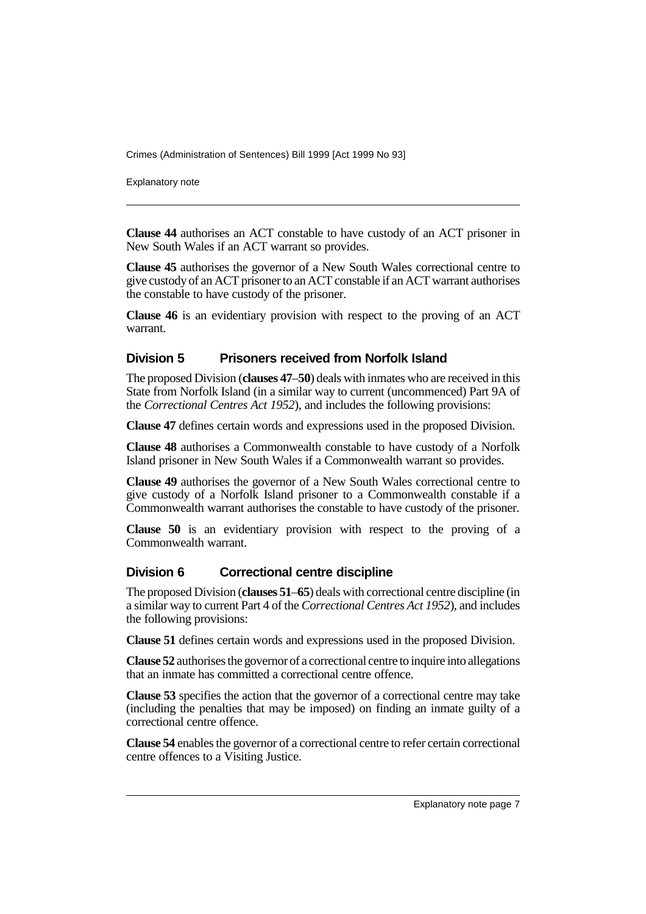Explanatory note

**Clause 44** authorises an ACT constable to have custody of an ACT prisoner in New South Wales if an ACT warrant so provides.

**Clause 45** authorises the governor of a New South Wales correctional centre to give custody of an ACT prisoner to an ACT constable if an ACT warrant authorises the constable to have custody of the prisoner.

**Clause 46** is an evidentiary provision with respect to the proving of an ACT warrant.

#### **Division 5 Prisoners received from Norfolk Island**

The proposed Division (**clauses 47**–**50**) deals with inmates who are received in this State from Norfolk Island (in a similar way to current (uncommenced) Part 9A of the *Correctional Centres Act 1952*), and includes the following provisions:

**Clause 47** defines certain words and expressions used in the proposed Division.

**Clause 48** authorises a Commonwealth constable to have custody of a Norfolk Island prisoner in New South Wales if a Commonwealth warrant so provides.

**Clause 49** authorises the governor of a New South Wales correctional centre to give custody of a Norfolk Island prisoner to a Commonwealth constable if a Commonwealth warrant authorises the constable to have custody of the prisoner.

**Clause 50** is an evidentiary provision with respect to the proving of a Commonwealth warrant.

#### **Division 6 Correctional centre discipline**

The proposed Division (**clauses 51**–**65**) deals with correctional centre discipline (in a similar way to current Part 4 of the *Correctional Centres Act 1952*), and includes the following provisions:

**Clause 51** defines certain words and expressions used in the proposed Division.

**Clause 52** authorises the governor of a correctional centre to inquire into allegations that an inmate has committed a correctional centre offence.

**Clause 53** specifies the action that the governor of a correctional centre may take (including the penalties that may be imposed) on finding an inmate guilty of a correctional centre offence.

**Clause 54** enables the governor of a correctional centre to refer certain correctional centre offences to a Visiting Justice.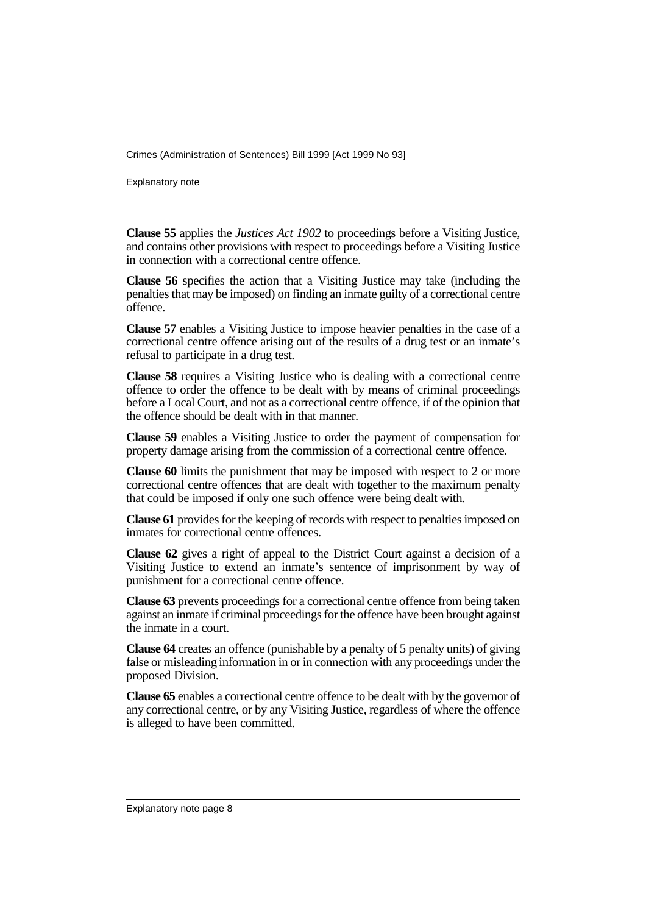Explanatory note

**Clause 55** applies the *Justices Act 1902* to proceedings before a Visiting Justice, and contains other provisions with respect to proceedings before a Visiting Justice in connection with a correctional centre offence.

**Clause 56** specifies the action that a Visiting Justice may take (including the penalties that may be imposed) on finding an inmate guilty of a correctional centre offence.

**Clause 57** enables a Visiting Justice to impose heavier penalties in the case of a correctional centre offence arising out of the results of a drug test or an inmate's refusal to participate in a drug test.

**Clause 58** requires a Visiting Justice who is dealing with a correctional centre offence to order the offence to be dealt with by means of criminal proceedings before a Local Court, and not as a correctional centre offence, if of the opinion that the offence should be dealt with in that manner.

**Clause 59** enables a Visiting Justice to order the payment of compensation for property damage arising from the commission of a correctional centre offence.

**Clause 60** limits the punishment that may be imposed with respect to 2 or more correctional centre offences that are dealt with together to the maximum penalty that could be imposed if only one such offence were being dealt with.

**Clause 61** provides for the keeping of records with respect to penalties imposed on inmates for correctional centre offences.

**Clause 62** gives a right of appeal to the District Court against a decision of a Visiting Justice to extend an inmate's sentence of imprisonment by way of punishment for a correctional centre offence.

**Clause 63** prevents proceedings for a correctional centre offence from being taken against an inmate if criminal proceedings for the offence have been brought against the inmate in a court.

**Clause 64** creates an offence (punishable by a penalty of 5 penalty units) of giving false or misleading information in or in connection with any proceedings under the proposed Division.

**Clause 65** enables a correctional centre offence to be dealt with by the governor of any correctional centre, or by any Visiting Justice, regardless of where the offence is alleged to have been committed.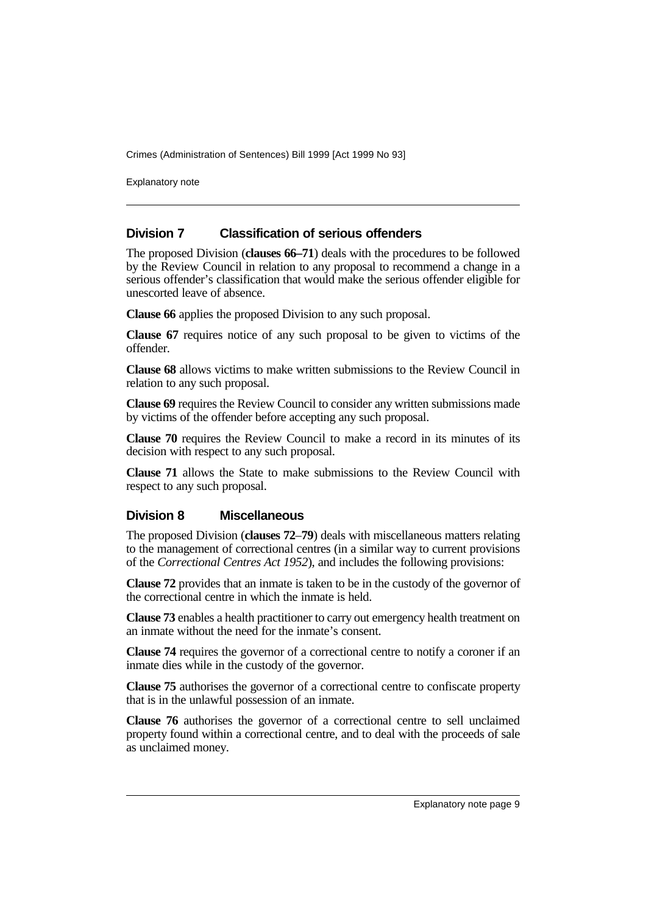Explanatory note

#### **Division 7 Classification of serious offenders**

The proposed Division (**clauses 66–71**) deals with the procedures to be followed by the Review Council in relation to any proposal to recommend a change in a serious offender's classification that would make the serious offender eligible for unescorted leave of absence.

**Clause 66** applies the proposed Division to any such proposal.

**Clause 67** requires notice of any such proposal to be given to victims of the offender.

**Clause 68** allows victims to make written submissions to the Review Council in relation to any such proposal.

**Clause 69** requires the Review Council to consider any written submissions made by victims of the offender before accepting any such proposal.

**Clause 70** requires the Review Council to make a record in its minutes of its decision with respect to any such proposal.

**Clause 71** allows the State to make submissions to the Review Council with respect to any such proposal.

#### **Division 8 Miscellaneous**

The proposed Division (**clauses 72**–**79**) deals with miscellaneous matters relating to the management of correctional centres (in a similar way to current provisions of the *Correctional Centres Act 1952*), and includes the following provisions:

**Clause 72** provides that an inmate is taken to be in the custody of the governor of the correctional centre in which the inmate is held.

**Clause 73** enables a health practitioner to carry out emergency health treatment on an inmate without the need for the inmate's consent.

**Clause 74** requires the governor of a correctional centre to notify a coroner if an inmate dies while in the custody of the governor.

**Clause 75** authorises the governor of a correctional centre to confiscate property that is in the unlawful possession of an inmate.

**Clause 76** authorises the governor of a correctional centre to sell unclaimed property found within a correctional centre, and to deal with the proceeds of sale as unclaimed money.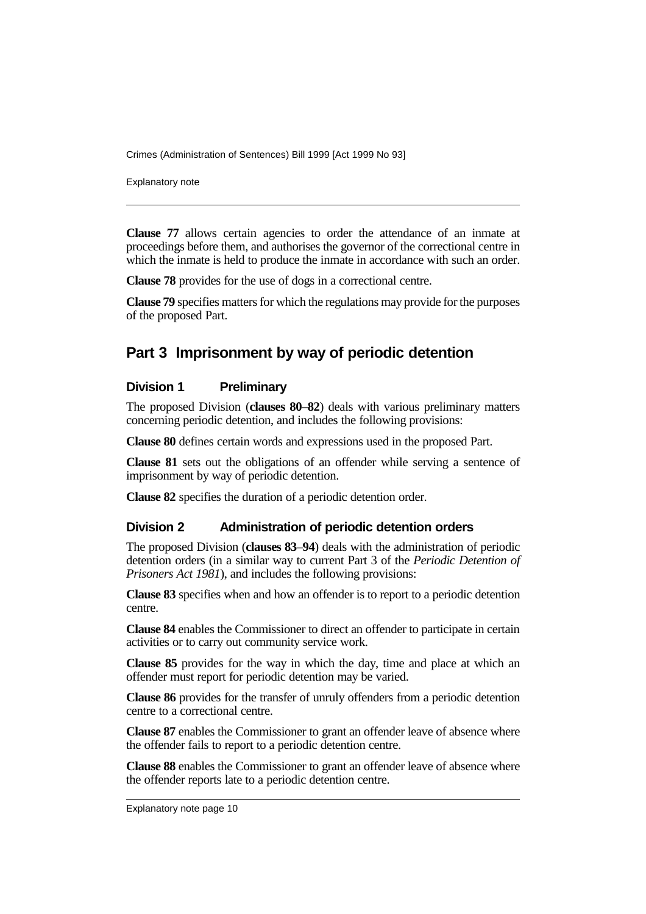Explanatory note

**Clause 77** allows certain agencies to order the attendance of an inmate at proceedings before them, and authorises the governor of the correctional centre in which the inmate is held to produce the inmate in accordance with such an order.

**Clause 78** provides for the use of dogs in a correctional centre.

**Clause 79** specifies matters for which the regulations may provide for the purposes of the proposed Part.

# **Part 3 Imprisonment by way of periodic detention**

#### **Division 1 Preliminary**

The proposed Division (**clauses 80–82**) deals with various preliminary matters concerning periodic detention, and includes the following provisions:

**Clause 80** defines certain words and expressions used in the proposed Part.

**Clause 81** sets out the obligations of an offender while serving a sentence of imprisonment by way of periodic detention.

**Clause 82** specifies the duration of a periodic detention order.

#### **Division 2 Administration of periodic detention orders**

The proposed Division (**clauses 83**–**94**) deals with the administration of periodic detention orders (in a similar way to current Part 3 of the *Periodic Detention of Prisoners Act 1981*), and includes the following provisions:

**Clause 83** specifies when and how an offender is to report to a periodic detention centre.

**Clause 84** enables the Commissioner to direct an offender to participate in certain activities or to carry out community service work.

**Clause 85** provides for the way in which the day, time and place at which an offender must report for periodic detention may be varied.

**Clause 86** provides for the transfer of unruly offenders from a periodic detention centre to a correctional centre.

**Clause 87** enables the Commissioner to grant an offender leave of absence where the offender fails to report to a periodic detention centre.

**Clause 88** enables the Commissioner to grant an offender leave of absence where the offender reports late to a periodic detention centre.

Explanatory note page 10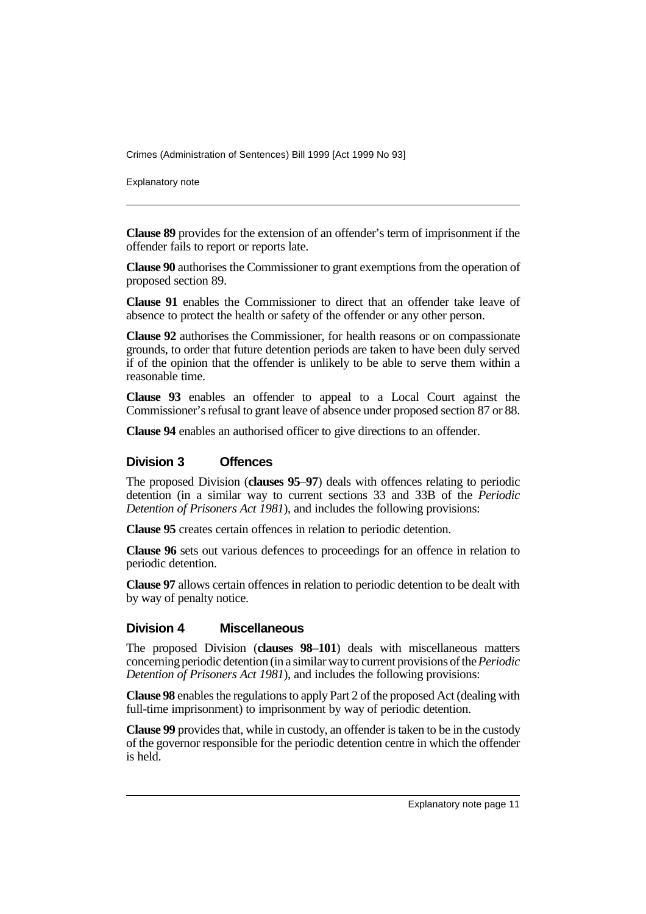Explanatory note

**Clause 89** provides for the extension of an offender's term of imprisonment if the offender fails to report or reports late.

**Clause 90** authorises the Commissioner to grant exemptions from the operation of proposed section 89.

**Clause 91** enables the Commissioner to direct that an offender take leave of absence to protect the health or safety of the offender or any other person.

**Clause 92** authorises the Commissioner, for health reasons or on compassionate grounds, to order that future detention periods are taken to have been duly served if of the opinion that the offender is unlikely to be able to serve them within a reasonable time.

**Clause 93** enables an offender to appeal to a Local Court against the Commissioner's refusal to grant leave of absence under proposed section 87 or 88.

**Clause 94** enables an authorised officer to give directions to an offender.

#### **Division 3 Offences**

The proposed Division (**clauses 95**–**97**) deals with offences relating to periodic detention (in a similar way to current sections 33 and 33B of the *Periodic Detention of Prisoners Act 1981*), and includes the following provisions:

**Clause 95** creates certain offences in relation to periodic detention.

**Clause 96** sets out various defences to proceedings for an offence in relation to periodic detention.

**Clause 97** allows certain offences in relation to periodic detention to be dealt with by way of penalty notice.

#### **Division 4 Miscellaneous**

The proposed Division (**clauses 98**–**101**) deals with miscellaneous matters concerning periodic detention (in a similar way to current provisions of the *Periodic Detention of Prisoners Act 1981*), and includes the following provisions:

**Clause 98** enables the regulations to apply Part 2 of the proposed Act (dealing with full-time imprisonment) to imprisonment by way of periodic detention.

**Clause 99** provides that, while in custody, an offender is taken to be in the custody of the governor responsible for the periodic detention centre in which the offender is held.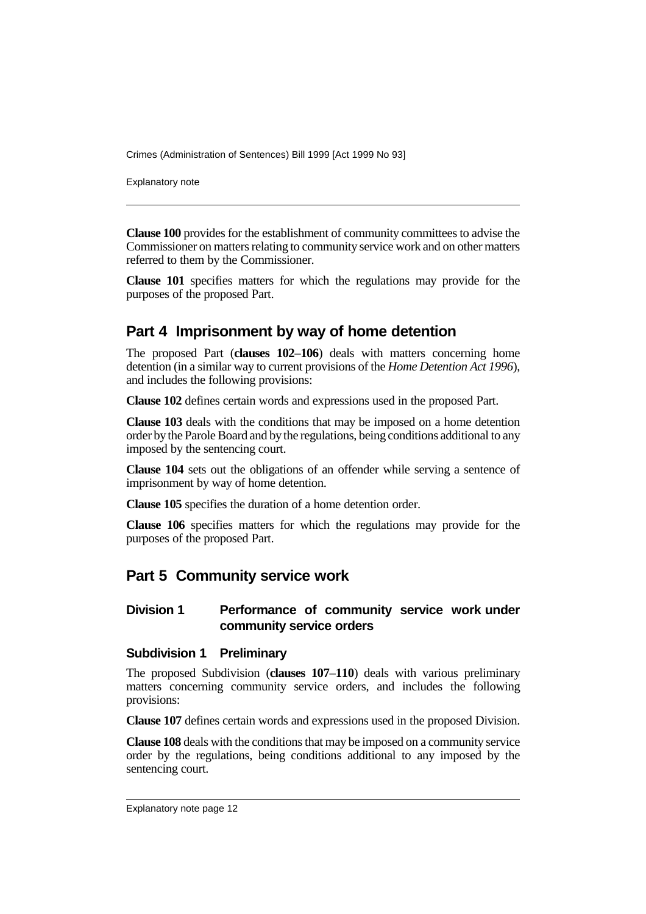Explanatory note

**Clause 100** provides for the establishment of community committees to advise the Commissioner on matters relating to community service work and on other matters referred to them by the Commissioner.

**Clause 101** specifies matters for which the regulations may provide for the purposes of the proposed Part.

# **Part 4 Imprisonment by way of home detention**

The proposed Part (**clauses 102**–**106**) deals with matters concerning home detention (in a similar way to current provisions of the *Home Detention Act 1996*), and includes the following provisions:

**Clause 102** defines certain words and expressions used in the proposed Part.

**Clause 103** deals with the conditions that may be imposed on a home detention order by the Parole Board and by the regulations, being conditions additional to any imposed by the sentencing court.

**Clause 104** sets out the obligations of an offender while serving a sentence of imprisonment by way of home detention.

**Clause 105** specifies the duration of a home detention order.

**Clause 106** specifies matters for which the regulations may provide for the purposes of the proposed Part.

# **Part 5 Community service work**

#### **Division 1 Performance of community service work under community service orders**

#### **Subdivision 1 Preliminary**

The proposed Subdivision (**clauses 107**–**110**) deals with various preliminary matters concerning community service orders, and includes the following provisions:

**Clause 107** defines certain words and expressions used in the proposed Division.

**Clause 108** deals with the conditions that may be imposed on a community service order by the regulations, being conditions additional to any imposed by the sentencing court.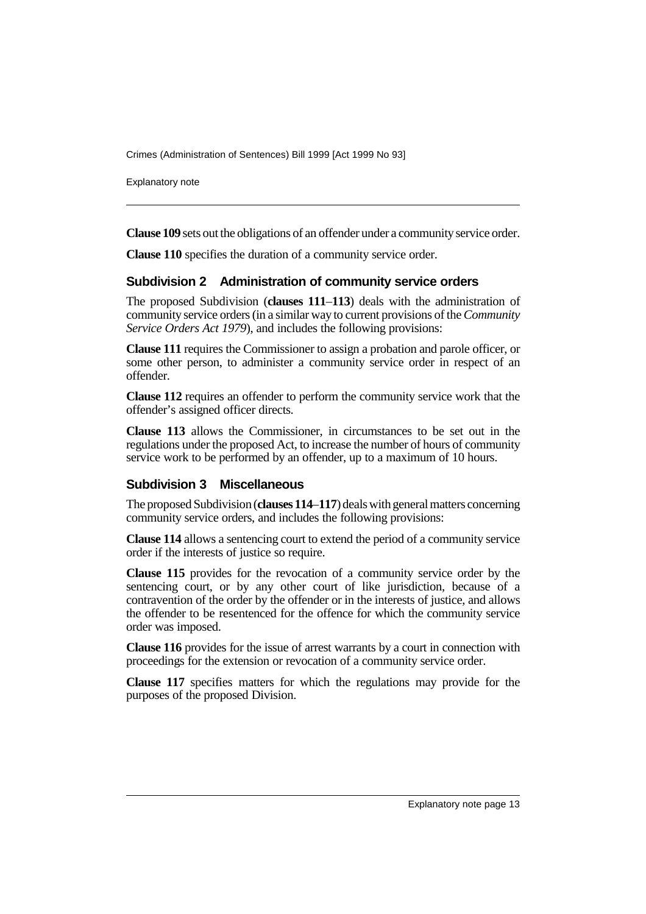Explanatory note

**Clause 109** sets out the obligations of an offender under a community service order.

**Clause 110** specifies the duration of a community service order.

#### **Subdivision 2 Administration of community service orders**

The proposed Subdivision (**clauses 111**–**113**) deals with the administration of community service orders (in a similar way to current provisions of the *Community Service Orders Act 1979*), and includes the following provisions:

**Clause 111** requires the Commissioner to assign a probation and parole officer, or some other person, to administer a community service order in respect of an offender.

**Clause 112** requires an offender to perform the community service work that the offender's assigned officer directs.

**Clause 113** allows the Commissioner, in circumstances to be set out in the regulations under the proposed Act, to increase the number of hours of community service work to be performed by an offender, up to a maximum of 10 hours.

#### **Subdivision 3 Miscellaneous**

The proposed Subdivision (**clauses 114**–**117**) deals with general matters concerning community service orders, and includes the following provisions:

**Clause 114** allows a sentencing court to extend the period of a community service order if the interests of justice so require.

**Clause 115** provides for the revocation of a community service order by the sentencing court, or by any other court of like jurisdiction, because of a contravention of the order by the offender or in the interests of justice, and allows the offender to be resentenced for the offence for which the community service order was imposed.

**Clause 116** provides for the issue of arrest warrants by a court in connection with proceedings for the extension or revocation of a community service order.

**Clause 117** specifies matters for which the regulations may provide for the purposes of the proposed Division.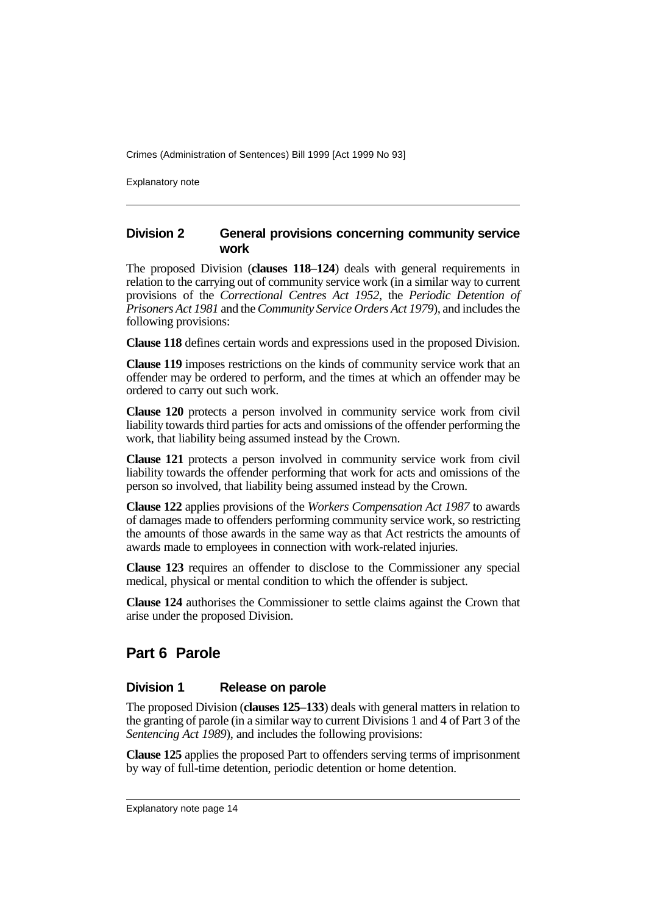Explanatory note

#### **Division 2 General provisions concerning community service work**

The proposed Division (**clauses 118**–**124**) deals with general requirements in relation to the carrying out of community service work (in a similar way to current provisions of the *Correctional Centres Act 1952*, the *Periodic Detention of Prisoners Act 1981* and the *Community Service Orders Act 1979*), and includes the following provisions:

**Clause 118** defines certain words and expressions used in the proposed Division.

**Clause 119** imposes restrictions on the kinds of community service work that an offender may be ordered to perform, and the times at which an offender may be ordered to carry out such work.

**Clause 120** protects a person involved in community service work from civil liability towards third parties for acts and omissions of the offender performing the work, that liability being assumed instead by the Crown.

**Clause 121** protects a person involved in community service work from civil liability towards the offender performing that work for acts and omissions of the person so involved, that liability being assumed instead by the Crown.

**Clause 122** applies provisions of the *Workers Compensation Act 1987* to awards of damages made to offenders performing community service work, so restricting the amounts of those awards in the same way as that Act restricts the amounts of awards made to employees in connection with work-related injuries.

**Clause 123** requires an offender to disclose to the Commissioner any special medical, physical or mental condition to which the offender is subject.

**Clause 124** authorises the Commissioner to settle claims against the Crown that arise under the proposed Division.

# **Part 6 Parole**

#### **Division 1 Release on parole**

The proposed Division (**clauses 125**–**133**) deals with general matters in relation to the granting of parole (in a similar way to current Divisions 1 and 4 of Part 3 of the *Sentencing Act 1989*), and includes the following provisions:

**Clause 125** applies the proposed Part to offenders serving terms of imprisonment by way of full-time detention, periodic detention or home detention.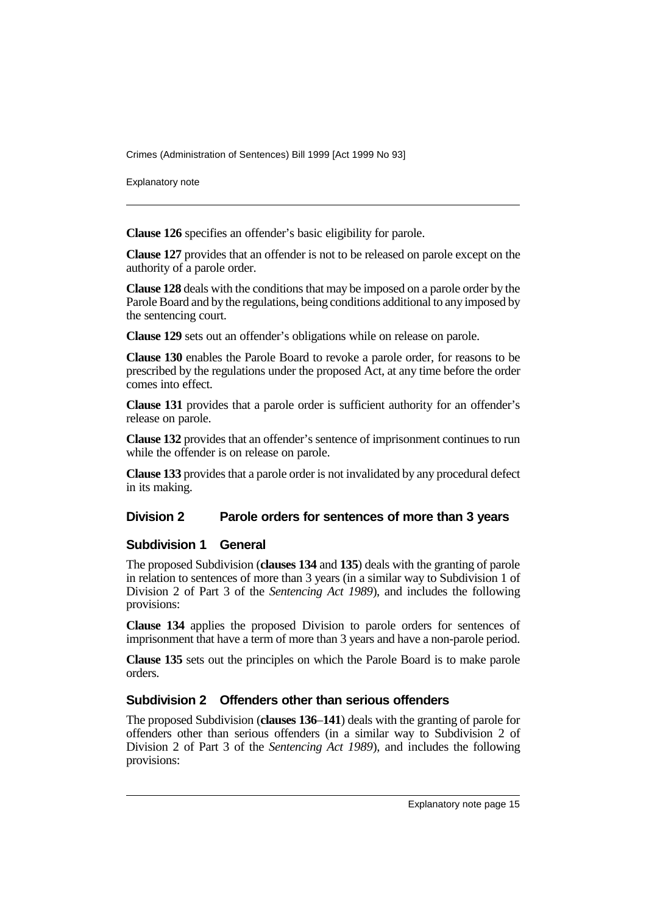Explanatory note

**Clause 126** specifies an offender's basic eligibility for parole.

**Clause 127** provides that an offender is not to be released on parole except on the authority of a parole order.

**Clause 128** deals with the conditions that may be imposed on a parole order by the Parole Board and by the regulations, being conditions additional to any imposed by the sentencing court.

**Clause 129** sets out an offender's obligations while on release on parole.

**Clause 130** enables the Parole Board to revoke a parole order, for reasons to be prescribed by the regulations under the proposed Act, at any time before the order comes into effect.

**Clause 131** provides that a parole order is sufficient authority for an offender's release on parole.

**Clause 132** provides that an offender's sentence of imprisonment continues to run while the offender is on release on parole.

**Clause 133** provides that a parole order is not invalidated by any procedural defect in its making.

#### **Division 2 Parole orders for sentences of more than 3 years**

#### **Subdivision 1 General**

The proposed Subdivision (**clauses 134** and **135**) deals with the granting of parole in relation to sentences of more than 3 years (in a similar way to Subdivision 1 of Division 2 of Part 3 of the *Sentencing Act 1989*), and includes the following provisions:

**Clause 134** applies the proposed Division to parole orders for sentences of imprisonment that have a term of more than 3 years and have a non-parole period.

**Clause 135** sets out the principles on which the Parole Board is to make parole orders.

#### **Subdivision 2 Offenders other than serious offenders**

The proposed Subdivision (**clauses 136**–**141**) deals with the granting of parole for offenders other than serious offenders (in a similar way to Subdivision 2 of Division 2 of Part 3 of the *Sentencing Act 1989*), and includes the following provisions: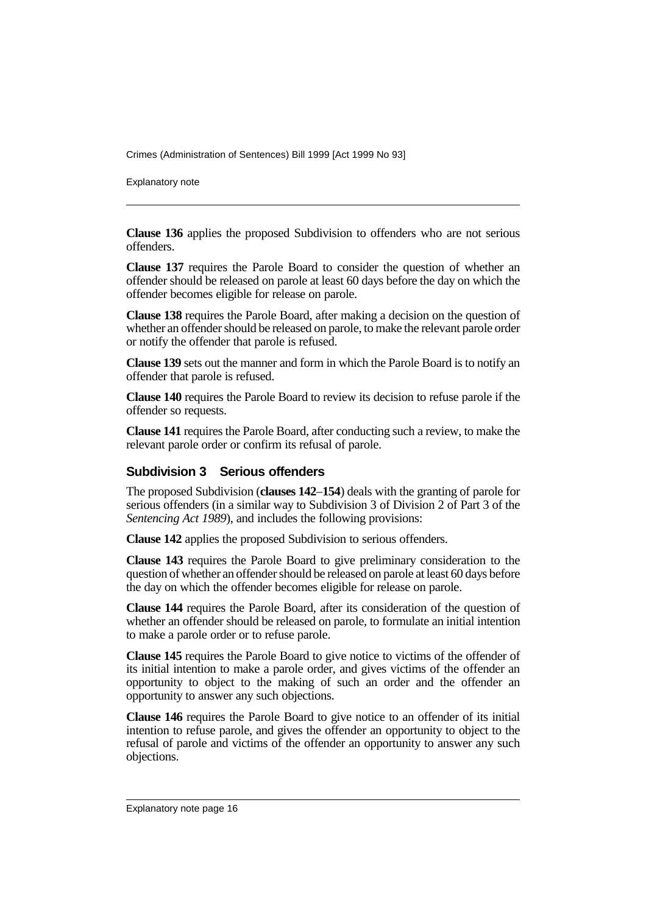Explanatory note

**Clause 136** applies the proposed Subdivision to offenders who are not serious offenders.

**Clause 137** requires the Parole Board to consider the question of whether an offender should be released on parole at least 60 days before the day on which the offender becomes eligible for release on parole.

**Clause 138** requires the Parole Board, after making a decision on the question of whether an offender should be released on parole, to make the relevant parole order or notify the offender that parole is refused.

**Clause 139** sets out the manner and form in which the Parole Board is to notify an offender that parole is refused.

**Clause 140** requires the Parole Board to review its decision to refuse parole if the offender so requests.

**Clause 141** requires the Parole Board, after conducting such a review, to make the relevant parole order or confirm its refusal of parole.

#### **Subdivision 3 Serious offenders**

The proposed Subdivision (**clauses 142**–**154**) deals with the granting of parole for serious offenders (in a similar way to Subdivision 3 of Division 2 of Part 3 of the *Sentencing Act 1989*), and includes the following provisions:

**Clause 142** applies the proposed Subdivision to serious offenders.

**Clause 143** requires the Parole Board to give preliminary consideration to the question of whether an offender should be released on parole at least 60 days before the day on which the offender becomes eligible for release on parole.

**Clause 144** requires the Parole Board, after its consideration of the question of whether an offender should be released on parole, to formulate an initial intention to make a parole order or to refuse parole.

**Clause 145** requires the Parole Board to give notice to victims of the offender of its initial intention to make a parole order, and gives victims of the offender an opportunity to object to the making of such an order and the offender an opportunity to answer any such objections.

**Clause 146** requires the Parole Board to give notice to an offender of its initial intention to refuse parole, and gives the offender an opportunity to object to the refusal of parole and victims of the offender an opportunity to answer any such objections.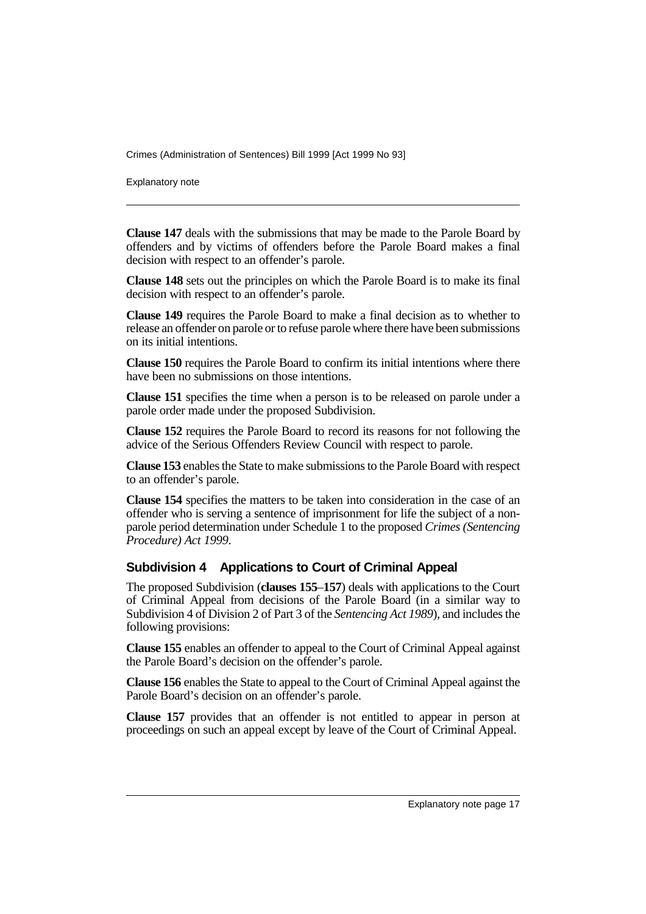Explanatory note

**Clause 147** deals with the submissions that may be made to the Parole Board by offenders and by victims of offenders before the Parole Board makes a final decision with respect to an offender's parole.

**Clause 148** sets out the principles on which the Parole Board is to make its final decision with respect to an offender's parole.

**Clause 149** requires the Parole Board to make a final decision as to whether to release an offender on parole or to refuse parole where there have been submissions on its initial intentions.

**Clause 150** requires the Parole Board to confirm its initial intentions where there have been no submissions on those intentions.

**Clause 151** specifies the time when a person is to be released on parole under a parole order made under the proposed Subdivision.

**Clause 152** requires the Parole Board to record its reasons for not following the advice of the Serious Offenders Review Council with respect to parole.

**Clause 153** enables the State to make submissions to the Parole Board with respect to an offender's parole.

**Clause 154** specifies the matters to be taken into consideration in the case of an offender who is serving a sentence of imprisonment for life the subject of a nonparole period determination under Schedule 1 to the proposed *Crimes (Sentencing Procedure) Act 1999*.

#### **Subdivision 4 Applications to Court of Criminal Appeal**

The proposed Subdivision (**clauses 155**–**157**) deals with applications to the Court of Criminal Appeal from decisions of the Parole Board (in a similar way to Subdivision 4 of Division 2 of Part 3 of the *Sentencing Act 1989*), and includes the following provisions:

**Clause 155** enables an offender to appeal to the Court of Criminal Appeal against the Parole Board's decision on the offender's parole.

**Clause 156** enables the State to appeal to the Court of Criminal Appeal against the Parole Board's decision on an offender's parole.

**Clause 157** provides that an offender is not entitled to appear in person at proceedings on such an appeal except by leave of the Court of Criminal Appeal.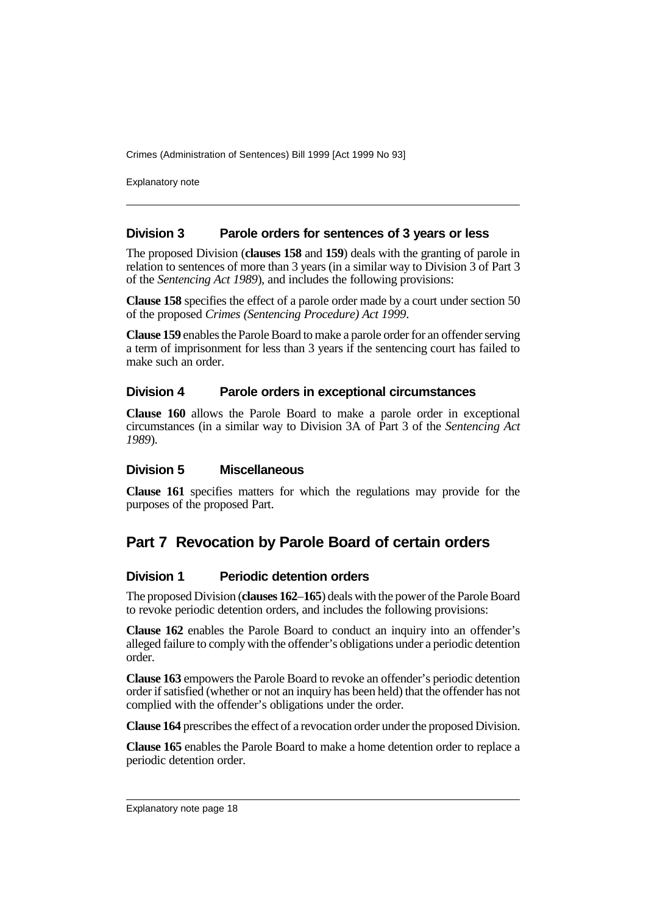Explanatory note

#### **Division 3 Parole orders for sentences of 3 years or less**

The proposed Division (**clauses 158** and **159**) deals with the granting of parole in relation to sentences of more than 3 years (in a similar way to Division 3 of Part 3 of the *Sentencing Act 1989*), and includes the following provisions:

**Clause 158** specifies the effect of a parole order made by a court under section 50 of the proposed *Crimes (Sentencing Procedure) Act 1999*.

**Clause 159** enables the Parole Board to make a parole order for an offender serving a term of imprisonment for less than 3 years if the sentencing court has failed to make such an order.

#### **Division 4 Parole orders in exceptional circumstances**

**Clause 160** allows the Parole Board to make a parole order in exceptional circumstances (in a similar way to Division 3A of Part 3 of the *Sentencing Act 1989*).

#### **Division 5 Miscellaneous**

**Clause 161** specifies matters for which the regulations may provide for the purposes of the proposed Part.

# **Part 7 Revocation by Parole Board of certain orders**

#### **Division 1 Periodic detention orders**

The proposed Division (**clauses 162**–**165**) deals with the power of the Parole Board to revoke periodic detention orders, and includes the following provisions:

**Clause 162** enables the Parole Board to conduct an inquiry into an offender's alleged failure to comply with the offender's obligations under a periodic detention order.

**Clause 163** empowers the Parole Board to revoke an offender's periodic detention order if satisfied (whether or not an inquiry has been held) that the offender has not complied with the offender's obligations under the order.

**Clause 164** prescribes the effect of a revocation order under the proposed Division.

**Clause 165** enables the Parole Board to make a home detention order to replace a periodic detention order.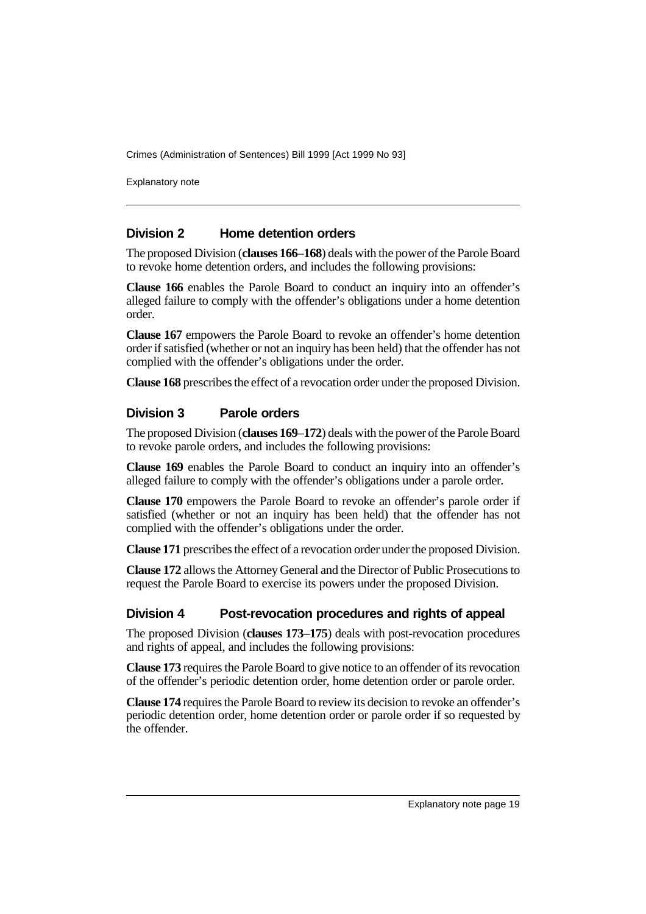Explanatory note

#### **Division 2 Home detention orders**

The proposed Division (**clauses 166**–**168**) deals with the power of the Parole Board to revoke home detention orders, and includes the following provisions:

**Clause 166** enables the Parole Board to conduct an inquiry into an offender's alleged failure to comply with the offender's obligations under a home detention order.

**Clause 167** empowers the Parole Board to revoke an offender's home detention order if satisfied (whether or not an inquiry has been held) that the offender has not complied with the offender's obligations under the order.

**Clause 168** prescribes the effect of a revocation order under the proposed Division.

#### **Division 3 Parole orders**

The proposed Division (**clauses 169**–**172**) deals with the power of the Parole Board to revoke parole orders, and includes the following provisions:

**Clause 169** enables the Parole Board to conduct an inquiry into an offender's alleged failure to comply with the offender's obligations under a parole order.

**Clause 170** empowers the Parole Board to revoke an offender's parole order if satisfied (whether or not an inquiry has been held) that the offender has not complied with the offender's obligations under the order.

**Clause 171** prescribes the effect of a revocation order under the proposed Division.

**Clause 172** allows the Attorney General and the Director of Public Prosecutions to request the Parole Board to exercise its powers under the proposed Division.

#### **Division 4 Post-revocation procedures and rights of appeal**

The proposed Division (**clauses 173**–**175**) deals with post-revocation procedures and rights of appeal, and includes the following provisions:

**Clause 173** requires the Parole Board to give notice to an offender of its revocation of the offender's periodic detention order, home detention order or parole order.

**Clause 174** requires the Parole Board to review its decision to revoke an offender's periodic detention order, home detention order or parole order if so requested by the offender.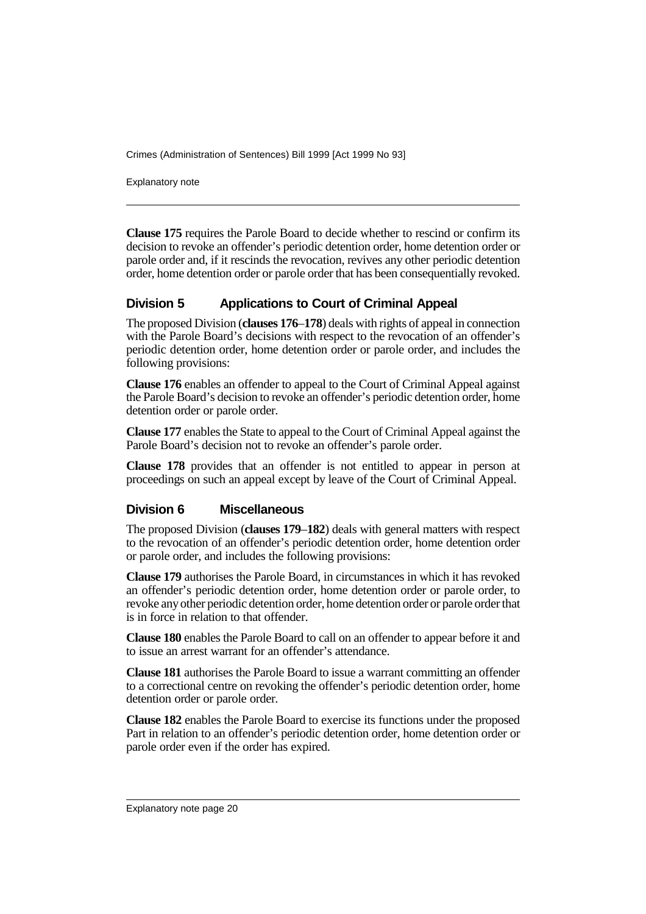Explanatory note

**Clause 175** requires the Parole Board to decide whether to rescind or confirm its decision to revoke an offender's periodic detention order, home detention order or parole order and, if it rescinds the revocation, revives any other periodic detention order, home detention order or parole order that has been consequentially revoked.

### **Division 5 Applications to Court of Criminal Appeal**

The proposed Division (**clauses 176**–**178**) deals with rights of appeal in connection with the Parole Board's decisions with respect to the revocation of an offender's periodic detention order, home detention order or parole order, and includes the following provisions:

**Clause 176** enables an offender to appeal to the Court of Criminal Appeal against the Parole Board's decision to revoke an offender's periodic detention order, home detention order or parole order.

**Clause 177** enables the State to appeal to the Court of Criminal Appeal against the Parole Board's decision not to revoke an offender's parole order.

**Clause 178** provides that an offender is not entitled to appear in person at proceedings on such an appeal except by leave of the Court of Criminal Appeal.

#### **Division 6 Miscellaneous**

The proposed Division (**clauses 179**–**182**) deals with general matters with respect to the revocation of an offender's periodic detention order, home detention order or parole order, and includes the following provisions:

**Clause 179** authorises the Parole Board, in circumstances in which it has revoked an offender's periodic detention order, home detention order or parole order, to revoke any other periodic detention order, home detention order or parole order that is in force in relation to that offender.

**Clause 180** enables the Parole Board to call on an offender to appear before it and to issue an arrest warrant for an offender's attendance.

**Clause 181** authorises the Parole Board to issue a warrant committing an offender to a correctional centre on revoking the offender's periodic detention order, home detention order or parole order.

**Clause 182** enables the Parole Board to exercise its functions under the proposed Part in relation to an offender's periodic detention order, home detention order or parole order even if the order has expired.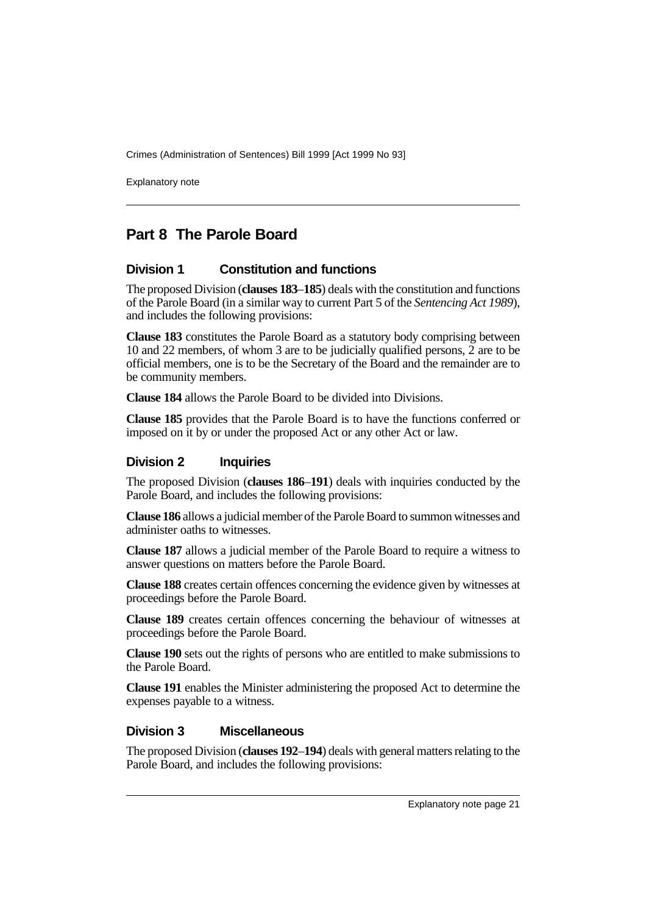Explanatory note

# **Part 8 The Parole Board**

#### **Division 1 Constitution and functions**

The proposed Division (**clauses 183**–**185**) deals with the constitution and functions of the Parole Board (in a similar way to current Part 5 of the *Sentencing Act 1989*), and includes the following provisions:

**Clause 183** constitutes the Parole Board as a statutory body comprising between 10 and 22 members, of whom 3 are to be judicially qualified persons, 2 are to be official members, one is to be the Secretary of the Board and the remainder are to be community members.

**Clause 184** allows the Parole Board to be divided into Divisions.

**Clause 185** provides that the Parole Board is to have the functions conferred or imposed on it by or under the proposed Act or any other Act or law.

#### **Division 2 Inquiries**

The proposed Division (**clauses 186**–**191**) deals with inquiries conducted by the Parole Board, and includes the following provisions:

**Clause 186** allows a judicial member of the Parole Board to summon witnesses and administer oaths to witnesses.

**Clause 187** allows a judicial member of the Parole Board to require a witness to answer questions on matters before the Parole Board.

**Clause 188** creates certain offences concerning the evidence given by witnesses at proceedings before the Parole Board.

**Clause 189** creates certain offences concerning the behaviour of witnesses at proceedings before the Parole Board.

**Clause 190** sets out the rights of persons who are entitled to make submissions to the Parole Board.

**Clause 191** enables the Minister administering the proposed Act to determine the expenses payable to a witness.

#### **Division 3 Miscellaneous**

The proposed Division (**clauses 192**–**194**) deals with general matters relating to the Parole Board, and includes the following provisions: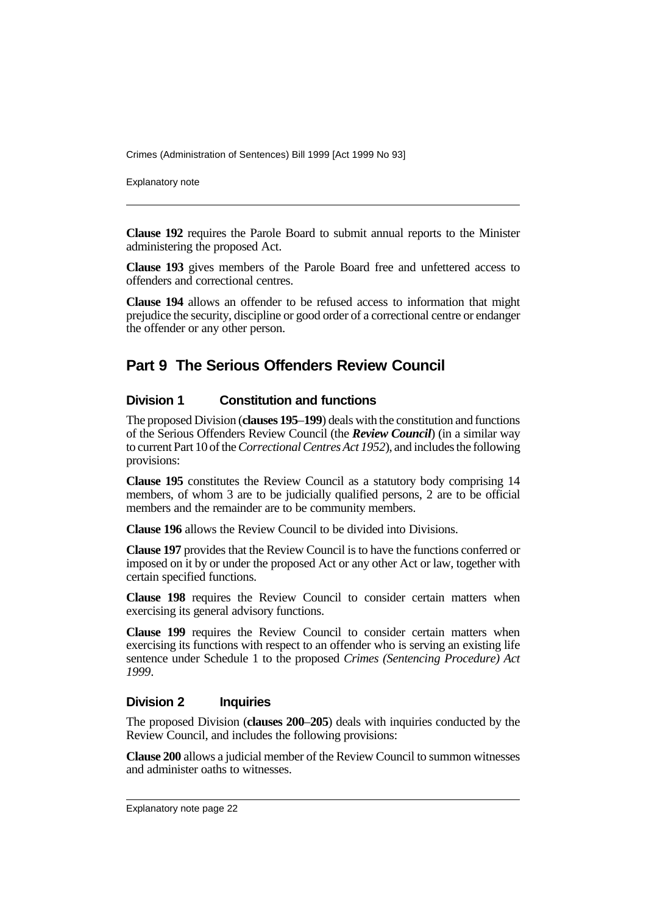Explanatory note

**Clause 192** requires the Parole Board to submit annual reports to the Minister administering the proposed Act.

**Clause 193** gives members of the Parole Board free and unfettered access to offenders and correctional centres.

**Clause 194** allows an offender to be refused access to information that might prejudice the security, discipline or good order of a correctional centre or endanger the offender or any other person.

# **Part 9 The Serious Offenders Review Council**

#### **Division 1 Constitution and functions**

The proposed Division (**clauses 195**–**199**) deals with the constitution and functions of the Serious Offenders Review Council (the *Review Council*) (in a similar way to current Part 10 of the *Correctional Centres Act 1952*), and includes the following provisions:

**Clause 195** constitutes the Review Council as a statutory body comprising 14 members, of whom 3 are to be judicially qualified persons, 2 are to be official members and the remainder are to be community members.

**Clause 196** allows the Review Council to be divided into Divisions.

**Clause 197** provides that the Review Council is to have the functions conferred or imposed on it by or under the proposed Act or any other Act or law, together with certain specified functions.

**Clause 198** requires the Review Council to consider certain matters when exercising its general advisory functions.

**Clause 199** requires the Review Council to consider certain matters when exercising its functions with respect to an offender who is serving an existing life sentence under Schedule 1 to the proposed *Crimes (Sentencing Procedure) Act 1999*.

### **Division 2 Inquiries**

The proposed Division (**clauses 200**–**205**) deals with inquiries conducted by the Review Council, and includes the following provisions:

**Clause 200** allows a judicial member of the Review Council to summon witnesses and administer oaths to witnesses.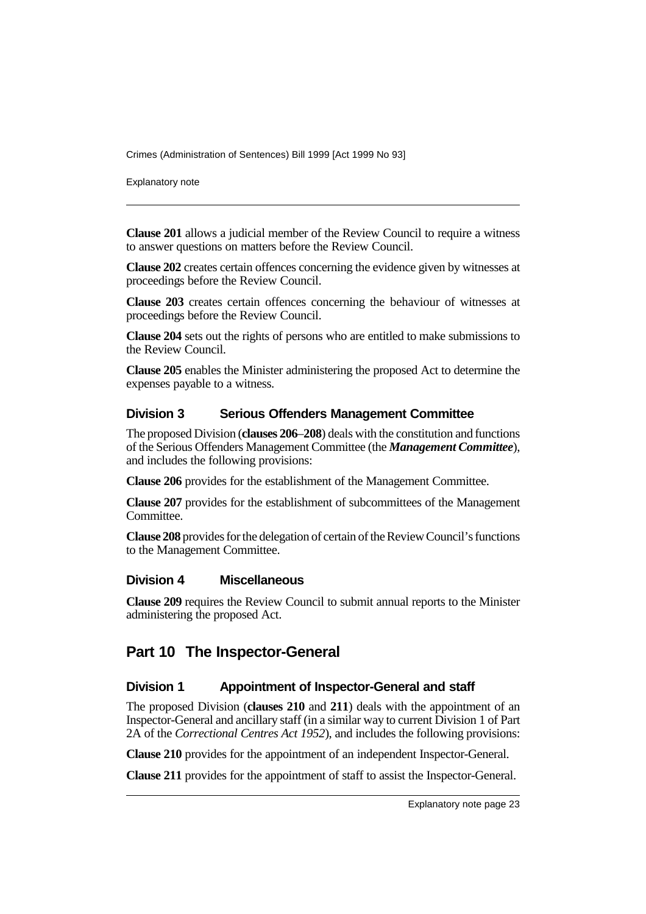Explanatory note

**Clause 201** allows a judicial member of the Review Council to require a witness to answer questions on matters before the Review Council.

**Clause 202** creates certain offences concerning the evidence given by witnesses at proceedings before the Review Council.

**Clause 203** creates certain offences concerning the behaviour of witnesses at proceedings before the Review Council.

**Clause 204** sets out the rights of persons who are entitled to make submissions to the Review Council.

**Clause 205** enables the Minister administering the proposed Act to determine the expenses payable to a witness.

#### **Division 3 Serious Offenders Management Committee**

The proposed Division (**clauses 206**–**208**) deals with the constitution and functions of the Serious Offenders Management Committee (the *Management Committee*), and includes the following provisions:

**Clause 206** provides for the establishment of the Management Committee.

**Clause 207** provides for the establishment of subcommittees of the Management Committee.

**Clause 208** provides for the delegation of certain of the Review Council's functions to the Management Committee.

#### **Division 4 Miscellaneous**

**Clause 209** requires the Review Council to submit annual reports to the Minister administering the proposed Act.

# **Part 10 The Inspector-General**

#### **Division 1 Appointment of Inspector-General and staff**

The proposed Division (**clauses 210** and **211**) deals with the appointment of an Inspector-General and ancillary staff (in a similar way to current Division 1 of Part 2A of the *Correctional Centres Act 1952*), and includes the following provisions:

**Clause 210** provides for the appointment of an independent Inspector-General.

**Clause 211** provides for the appointment of staff to assist the Inspector-General.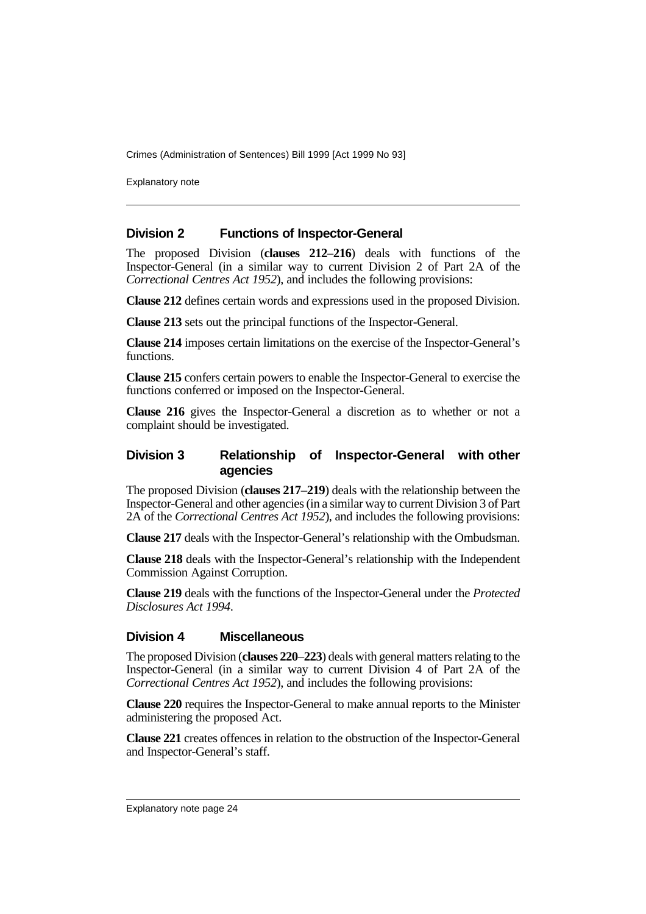Explanatory note

#### **Division 2 Functions of Inspector-General**

The proposed Division (**clauses 212**–**216**) deals with functions of the Inspector-General (in a similar way to current Division 2 of Part 2A of the *Correctional Centres Act 1952*), and includes the following provisions:

**Clause 212** defines certain words and expressions used in the proposed Division.

**Clause 213** sets out the principal functions of the Inspector-General.

**Clause 214** imposes certain limitations on the exercise of the Inspector-General's functions.

**Clause 215** confers certain powers to enable the Inspector-General to exercise the functions conferred or imposed on the Inspector-General.

**Clause 216** gives the Inspector-General a discretion as to whether or not a complaint should be investigated.

#### **Division 3 Relationship of Inspector-General with other agencies**

The proposed Division (**clauses 217**–**219**) deals with the relationship between the Inspector-General and other agencies (in a similar way to current Division 3 of Part 2A of the *Correctional Centres Act 1952*), and includes the following provisions:

**Clause 217** deals with the Inspector-General's relationship with the Ombudsman.

**Clause 218** deals with the Inspector-General's relationship with the Independent Commission Against Corruption.

**Clause 219** deals with the functions of the Inspector-General under the *Protected Disclosures Act 1994*.

#### **Division 4 Miscellaneous**

The proposed Division (**clauses 220**–**223**) deals with general matters relating to the Inspector-General (in a similar way to current Division 4 of Part 2A of the *Correctional Centres Act 1952*), and includes the following provisions:

**Clause 220** requires the Inspector-General to make annual reports to the Minister administering the proposed Act.

**Clause 221** creates offences in relation to the obstruction of the Inspector-General and Inspector-General's staff.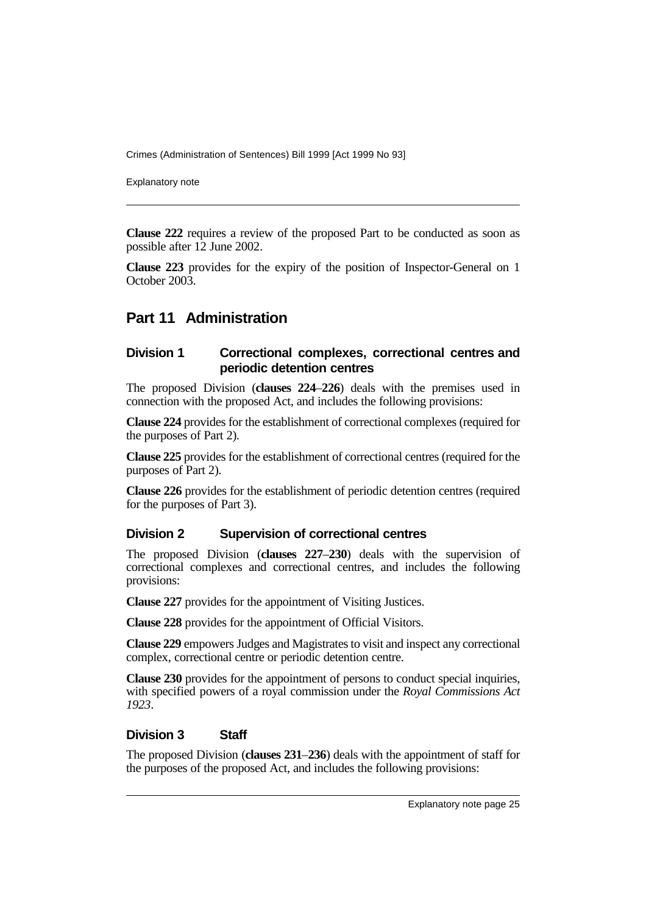Explanatory note

**Clause 222** requires a review of the proposed Part to be conducted as soon as possible after 12 June 2002.

**Clause 223** provides for the expiry of the position of Inspector-General on 1 October 2003.

# **Part 11 Administration**

#### **Division 1 Correctional complexes, correctional centres and periodic detention centres**

The proposed Division (**clauses 224**–**226**) deals with the premises used in connection with the proposed Act, and includes the following provisions:

**Clause 224** provides for the establishment of correctional complexes (required for the purposes of Part 2).

**Clause 225** provides for the establishment of correctional centres (required for the purposes of Part 2).

**Clause 226** provides for the establishment of periodic detention centres (required for the purposes of Part 3).

#### **Division 2 Supervision of correctional centres**

The proposed Division (**clauses 227**–**230**) deals with the supervision of correctional complexes and correctional centres, and includes the following provisions:

**Clause 227** provides for the appointment of Visiting Justices.

**Clause 228** provides for the appointment of Official Visitors.

**Clause 229** empowers Judges and Magistrates to visit and inspect any correctional complex, correctional centre or periodic detention centre.

**Clause 230** provides for the appointment of persons to conduct special inquiries, with specified powers of a royal commission under the *Royal Commissions Act 1923*.

#### **Division 3 Staff**

The proposed Division (**clauses 231**–**236**) deals with the appointment of staff for the purposes of the proposed Act, and includes the following provisions: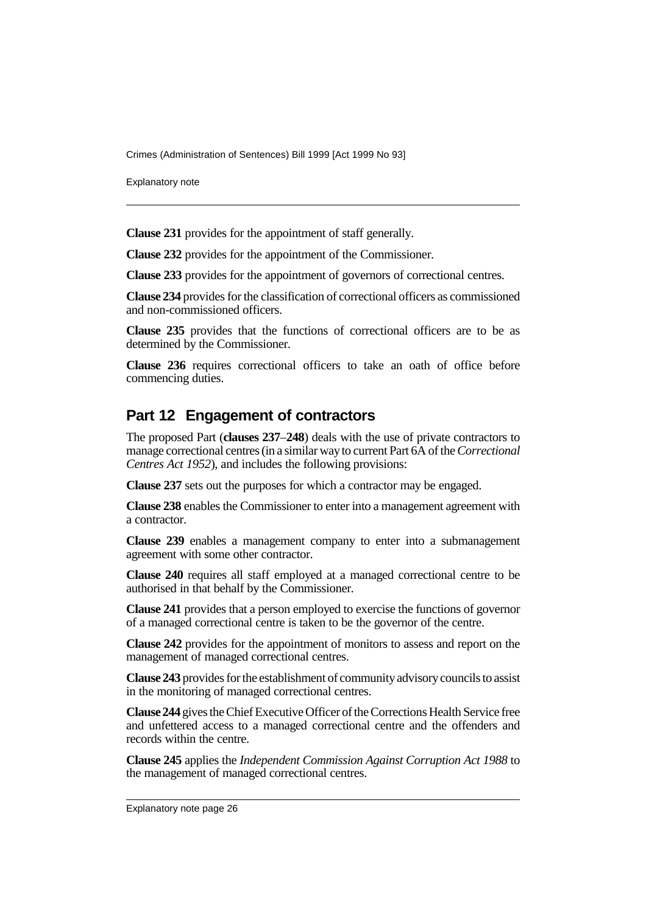Explanatory note

**Clause 231** provides for the appointment of staff generally.

**Clause 232** provides for the appointment of the Commissioner.

**Clause 233** provides for the appointment of governors of correctional centres.

**Clause 234** provides for the classification of correctional officers as commissioned and non-commissioned officers.

**Clause 235** provides that the functions of correctional officers are to be as determined by the Commissioner.

**Clause 236** requires correctional officers to take an oath of office before commencing duties.

### **Part 12 Engagement of contractors**

The proposed Part (**clauses 237**–**248**) deals with the use of private contractors to manage correctional centres (in a similar way to current Part 6A of the *Correctional Centres Act 1952*), and includes the following provisions:

**Clause 237** sets out the purposes for which a contractor may be engaged.

**Clause 238** enables the Commissioner to enter into a management agreement with a contractor.

**Clause 239** enables a management company to enter into a submanagement agreement with some other contractor.

**Clause 240** requires all staff employed at a managed correctional centre to be authorised in that behalf by the Commissioner.

**Clause 241** provides that a person employed to exercise the functions of governor of a managed correctional centre is taken to be the governor of the centre.

**Clause 242** provides for the appointment of monitors to assess and report on the management of managed correctional centres.

**Clause 243** provides for the establishment of community advisory councils to assist in the monitoring of managed correctional centres.

**Clause 244** gives the Chief Executive Officer of the Corrections Health Service free and unfettered access to a managed correctional centre and the offenders and records within the centre.

**Clause 245** applies the *Independent Commission Against Corruption Act 1988* to the management of managed correctional centres.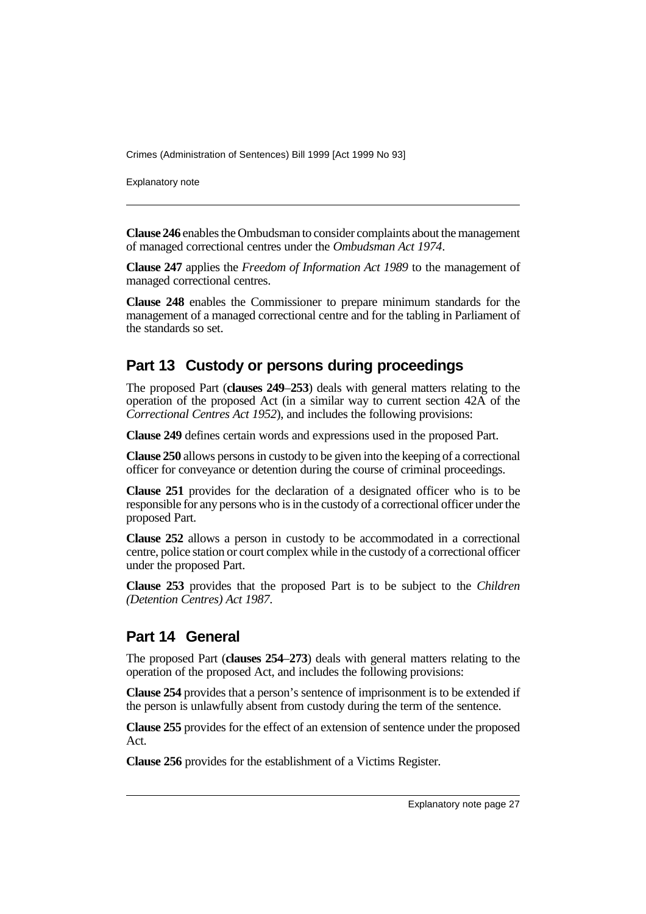Explanatory note

**Clause 246** enables the Ombudsman to consider complaints about the management of managed correctional centres under the *Ombudsman Act 1974*.

**Clause 247** applies the *Freedom of Information Act 1989* to the management of managed correctional centres.

**Clause 248** enables the Commissioner to prepare minimum standards for the management of a managed correctional centre and for the tabling in Parliament of the standards so set.

# **Part 13 Custody or persons during proceedings**

The proposed Part (**clauses 249**–**253**) deals with general matters relating to the operation of the proposed Act (in a similar way to current section 42A of the *Correctional Centres Act 1952*), and includes the following provisions:

**Clause 249** defines certain words and expressions used in the proposed Part.

**Clause 250** allows persons in custody to be given into the keeping of a correctional officer for conveyance or detention during the course of criminal proceedings.

**Clause 251** provides for the declaration of a designated officer who is to be responsible for any persons who is in the custody of a correctional officer under the proposed Part.

**Clause 252** allows a person in custody to be accommodated in a correctional centre, police station or court complex while in the custody of a correctional officer under the proposed Part.

**Clause 253** provides that the proposed Part is to be subject to the *Children (Detention Centres) Act 1987*.

### **Part 14 General**

The proposed Part (**clauses 254**–**273**) deals with general matters relating to the operation of the proposed Act, and includes the following provisions:

**Clause 254** provides that a person's sentence of imprisonment is to be extended if the person is unlawfully absent from custody during the term of the sentence.

**Clause 255** provides for the effect of an extension of sentence under the proposed Act.

**Clause 256** provides for the establishment of a Victims Register.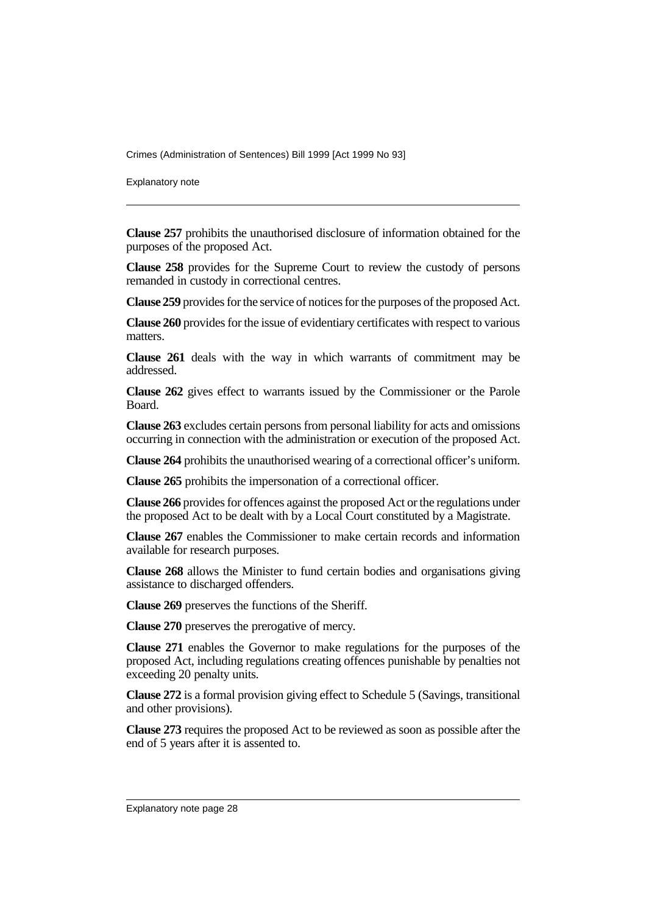Explanatory note

**Clause 257** prohibits the unauthorised disclosure of information obtained for the purposes of the proposed Act.

**Clause 258** provides for the Supreme Court to review the custody of persons remanded in custody in correctional centres.

**Clause 259** provides for the service of notices for the purposes of the proposed Act.

**Clause 260** provides for the issue of evidentiary certificates with respect to various matters.

**Clause 261** deals with the way in which warrants of commitment may be addressed.

**Clause 262** gives effect to warrants issued by the Commissioner or the Parole Board.

**Clause 263** excludes certain persons from personal liability for acts and omissions occurring in connection with the administration or execution of the proposed Act.

**Clause 264** prohibits the unauthorised wearing of a correctional officer's uniform.

**Clause 265** prohibits the impersonation of a correctional officer.

**Clause 266** provides for offences against the proposed Act or the regulations under the proposed Act to be dealt with by a Local Court constituted by a Magistrate.

**Clause 267** enables the Commissioner to make certain records and information available for research purposes.

**Clause 268** allows the Minister to fund certain bodies and organisations giving assistance to discharged offenders.

**Clause 269** preserves the functions of the Sheriff.

**Clause 270** preserves the prerogative of mercy.

**Clause 271** enables the Governor to make regulations for the purposes of the proposed Act, including regulations creating offences punishable by penalties not exceeding 20 penalty units.

**Clause 272** is a formal provision giving effect to Schedule 5 (Savings, transitional and other provisions).

**Clause 273** requires the proposed Act to be reviewed as soon as possible after the end of 5 years after it is assented to.